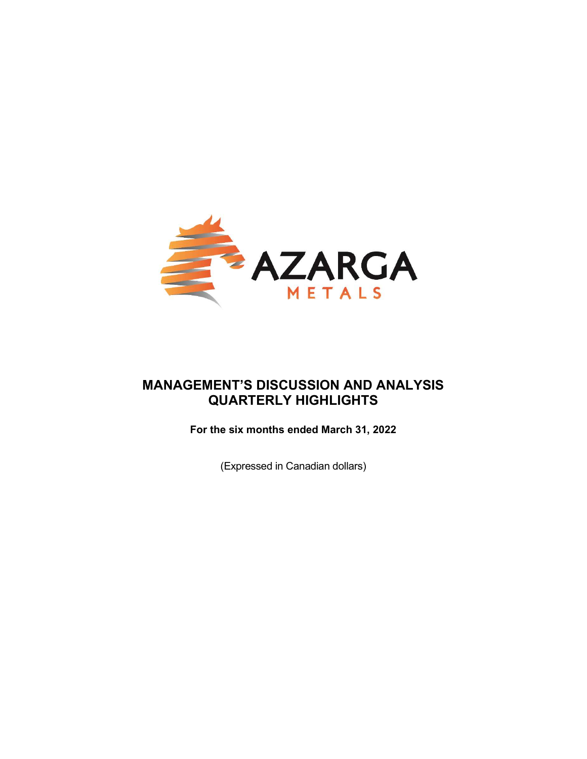

# MANAGEMENT'S DISCUSSION AND ANALYSIS QUARTERLY HIGHLIGHTS

For the six months ended March 31, 2022

(Expressed in Canadian dollars)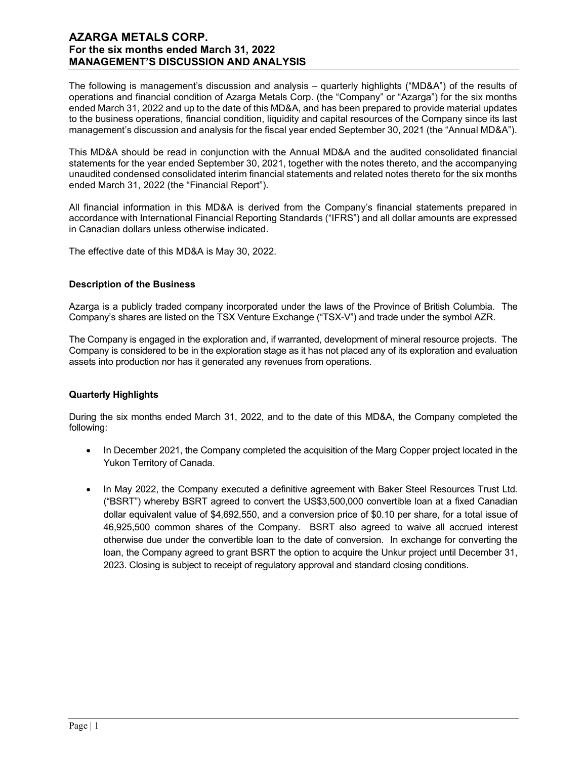The following is management's discussion and analysis – quarterly highlights ("MD&A") of the results of operations and financial condition of Azarga Metals Corp. (the "Company" or "Azarga") for the six months ended March 31, 2022 and up to the date of this MD&A, and has been prepared to provide material updates to the business operations, financial condition, liquidity and capital resources of the Company since its last management's discussion and analysis for the fiscal year ended September 30, 2021 (the "Annual MD&A").

This MD&A should be read in conjunction with the Annual MD&A and the audited consolidated financial statements for the year ended September 30, 2021, together with the notes thereto, and the accompanying unaudited condensed consolidated interim financial statements and related notes thereto for the six months ended March 31, 2022 (the "Financial Report").

All financial information in this MD&A is derived from the Company's financial statements prepared in accordance with International Financial Reporting Standards ("IFRS") and all dollar amounts are expressed in Canadian dollars unless otherwise indicated.

The effective date of this MD&A is May 30, 2022.

## Description of the Business

Azarga is a publicly traded company incorporated under the laws of the Province of British Columbia. The Company's shares are listed on the TSX Venture Exchange ("TSX-V") and trade under the symbol AZR.

The Company is engaged in the exploration and, if warranted, development of mineral resource projects. The Company is considered to be in the exploration stage as it has not placed any of its exploration and evaluation assets into production nor has it generated any revenues from operations.

## Quarterly Highlights

During the six months ended March 31, 2022, and to the date of this MD&A, the Company completed the following:

- In December 2021, the Company completed the acquisition of the Marg Copper project located in the Yukon Territory of Canada.
- In May 2022, the Company executed a definitive agreement with Baker Steel Resources Trust Ltd. ("BSRT") whereby BSRT agreed to convert the US\$3,500,000 convertible loan at a fixed Canadian dollar equivalent value of \$4,692,550, and a conversion price of \$0.10 per share, for a total issue of 46,925,500 common shares of the Company. BSRT also agreed to waive all accrued interest otherwise due under the convertible loan to the date of conversion. In exchange for converting the loan, the Company agreed to grant BSRT the option to acquire the Unkur project until December 31, 2023. Closing is subject to receipt of regulatory approval and standard closing conditions.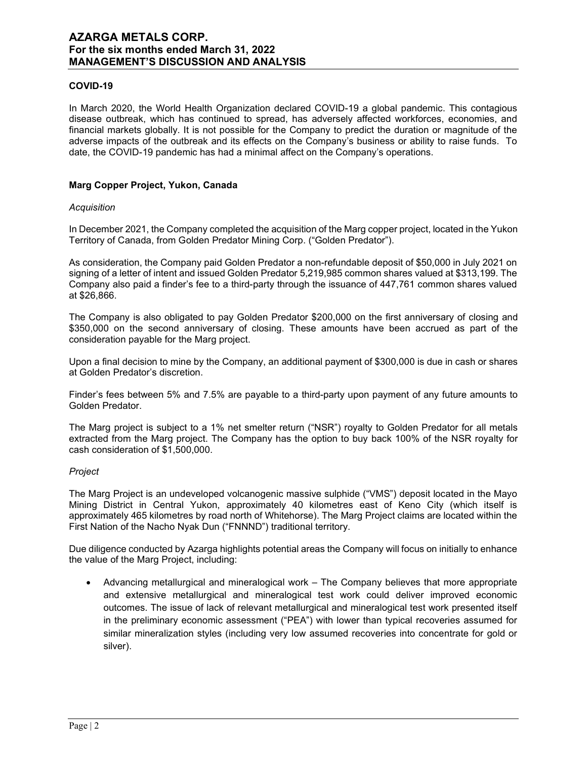## COVID-19

In March 2020, the World Health Organization declared COVID-19 a global pandemic. This contagious disease outbreak, which has continued to spread, has adversely affected workforces, economies, and financial markets globally. It is not possible for the Company to predict the duration or magnitude of the adverse impacts of the outbreak and its effects on the Company's business or ability to raise funds. To date, the COVID-19 pandemic has had a minimal affect on the Company's operations.

## Marg Copper Project, Yukon, Canada

#### **Acquisition**

In December 2021, the Company completed the acquisition of the Marg copper project, located in the Yukon Territory of Canada, from Golden Predator Mining Corp. ("Golden Predator").

As consideration, the Company paid Golden Predator a non-refundable deposit of \$50,000 in July 2021 on signing of a letter of intent and issued Golden Predator 5,219,985 common shares valued at \$313,199. The Company also paid a finder's fee to a third-party through the issuance of 447,761 common shares valued at \$26,866.

The Company is also obligated to pay Golden Predator \$200,000 on the first anniversary of closing and \$350,000 on the second anniversary of closing. These amounts have been accrued as part of the consideration payable for the Marg project.

Upon a final decision to mine by the Company, an additional payment of \$300,000 is due in cash or shares at Golden Predator's discretion.

Finder's fees between 5% and 7.5% are payable to a third-party upon payment of any future amounts to Golden Predator.

The Marg project is subject to a 1% net smelter return ("NSR") royalty to Golden Predator for all metals extracted from the Marg project. The Company has the option to buy back 100% of the NSR royalty for cash consideration of \$1,500,000.

#### Project

The Marg Project is an undeveloped volcanogenic massive sulphide ("VMS") deposit located in the Mayo Mining District in Central Yukon, approximately 40 kilometres east of Keno City (which itself is approximately 465 kilometres by road north of Whitehorse). The Marg Project claims are located within the First Nation of the Nacho Nyak Dun ("FNNND") traditional territory.

Due diligence conducted by Azarga highlights potential areas the Company will focus on initially to enhance the value of the Marg Project, including:

 Advancing metallurgical and mineralogical work – The Company believes that more appropriate and extensive metallurgical and mineralogical test work could deliver improved economic outcomes. The issue of lack of relevant metallurgical and mineralogical test work presented itself in the preliminary economic assessment ("PEA") with lower than typical recoveries assumed for similar mineralization styles (including very low assumed recoveries into concentrate for gold or silver).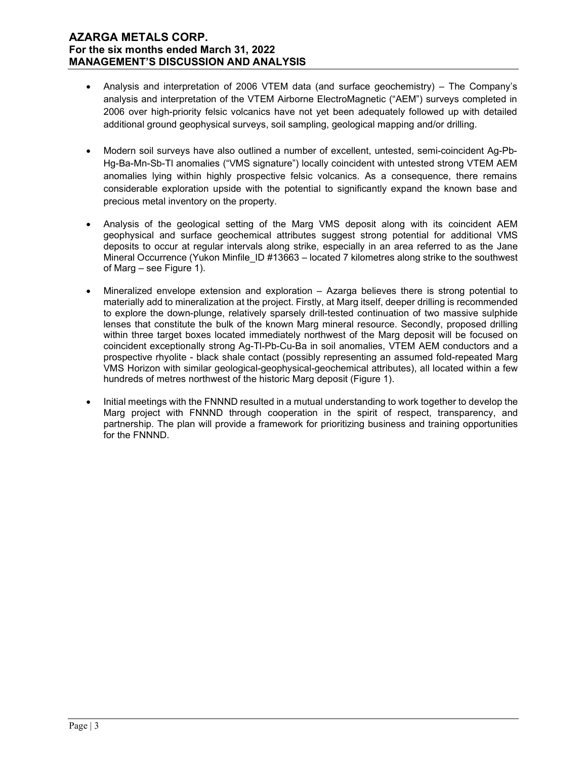- Analysis and interpretation of 2006 VTEM data (and surface geochemistry) The Company's analysis and interpretation of the VTEM Airborne ElectroMagnetic ("AEM") surveys completed in 2006 over high-priority felsic volcanics have not yet been adequately followed up with detailed additional ground geophysical surveys, soil sampling, geological mapping and/or drilling.
- Modern soil surveys have also outlined a number of excellent, untested, semi-coincident Ag-Pb-Hg-Ba-Mn-Sb-Tl anomalies ("VMS signature") locally coincident with untested strong VTEM AEM anomalies lying within highly prospective felsic volcanics. As a consequence, there remains considerable exploration upside with the potential to significantly expand the known base and precious metal inventory on the property.
- Analysis of the geological setting of the Marg VMS deposit along with its coincident AEM geophysical and surface geochemical attributes suggest strong potential for additional VMS deposits to occur at regular intervals along strike, especially in an area referred to as the Jane Mineral Occurrence (Yukon Minfile ID #13663 – located 7 kilometres along strike to the southwest of Marg – see Figure 1).
- Mineralized envelope extension and exploration Azarga believes there is strong potential to materially add to mineralization at the project. Firstly, at Marg itself, deeper drilling is recommended to explore the down-plunge, relatively sparsely drill-tested continuation of two massive sulphide lenses that constitute the bulk of the known Marg mineral resource. Secondly, proposed drilling within three target boxes located immediately northwest of the Marg deposit will be focused on coincident exceptionally strong Ag-Tl-Pb-Cu-Ba in soil anomalies, VTEM AEM conductors and a prospective rhyolite - black shale contact (possibly representing an assumed fold-repeated Marg VMS Horizon with similar geological-geophysical-geochemical attributes), all located within a few hundreds of metres northwest of the historic Marg deposit (Figure 1).
- Initial meetings with the FNNND resulted in a mutual understanding to work together to develop the Marg project with FNNND through cooperation in the spirit of respect, transparency, and partnership. The plan will provide a framework for prioritizing business and training opportunities for the FNNND.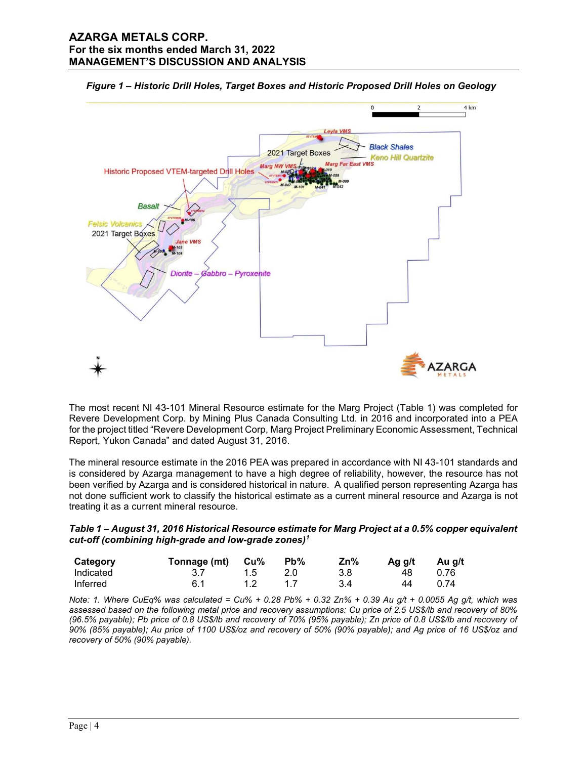



The most recent NI 43-101 Mineral Resource estimate for the Marg Project (Table 1) was completed for Revere Development Corp. by Mining Plus Canada Consulting Ltd. in 2016 and incorporated into a PEA for the project titled "Revere Development Corp, Marg Project Preliminary Economic Assessment, Technical Report, Yukon Canada" and dated August 31, 2016.

The mineral resource estimate in the 2016 PEA was prepared in accordance with NI 43-101 standards and is considered by Azarga management to have a high degree of reliability, however, the resource has not been verified by Azarga and is considered historical in nature. A qualified person representing Azarga has not done sufficient work to classify the historical estimate as a current mineral resource and Azarga is not treating it as a current mineral resource.

Table 1 – August 31, 2016 Historical Resource estimate for Marg Project at a 0.5% copper equivalent cut-off (combining high-grade and low-grade zones)<sup>1</sup>

| Category  | Tonnage (mt) Cu% |    | $Pb\%$ | Zn% | Aa a/t | Au g/t |
|-----------|------------------|----|--------|-----|--------|--------|
| Indicated | 3.1              | 15 | 20     | 3.8 | 48     | 0.76   |
| Inferred  | 6.1              |    |        | 3.4 | 44     | በ 74   |

Note: 1. Where CuEq% was calculated = Cu% + 0.28 Pb% + 0.32 Zn% + 0.39 Au g/t + 0.0055 Ag g/t, which was assessed based on the following metal price and recovery assumptions: Cu price of 2.5 US\$/lb and recovery of 80% (96.5% payable); Pb price of 0.8 US\$/lb and recovery of 70% (95% payable); Zn price of 0.8 US\$/lb and recovery of 90% (85% payable); Au price of 1100 US\$/oz and recovery of 50% (90% payable); and Ag price of 16 US\$/oz and recovery of 50% (90% payable).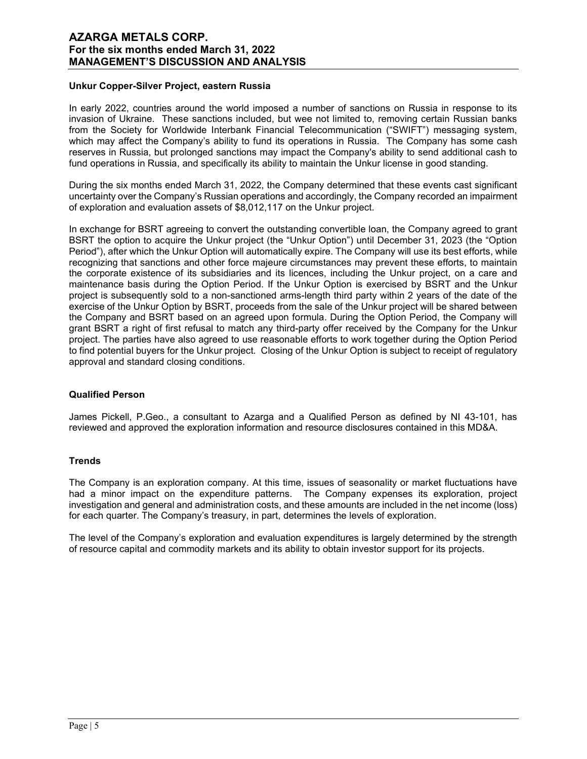## Unkur Copper-Silver Project, eastern Russia

In early 2022, countries around the world imposed a number of sanctions on Russia in response to its invasion of Ukraine. These sanctions included, but wee not limited to, removing certain Russian banks from the Society for Worldwide Interbank Financial Telecommunication ("SWIFT") messaging system, which may affect the Company's ability to fund its operations in Russia. The Company has some cash reserves in Russia, but prolonged sanctions may impact the Company's ability to send additional cash to fund operations in Russia, and specifically its ability to maintain the Unkur license in good standing.

During the six months ended March 31, 2022, the Company determined that these events cast significant uncertainty over the Company's Russian operations and accordingly, the Company recorded an impairment of exploration and evaluation assets of \$8,012,117 on the Unkur project.

In exchange for BSRT agreeing to convert the outstanding convertible loan, the Company agreed to grant BSRT the option to acquire the Unkur project (the "Unkur Option") until December 31, 2023 (the "Option Period"), after which the Unkur Option will automatically expire. The Company will use its best efforts, while recognizing that sanctions and other force majeure circumstances may prevent these efforts, to maintain the corporate existence of its subsidiaries and its licences, including the Unkur project, on a care and maintenance basis during the Option Period. If the Unkur Option is exercised by BSRT and the Unkur project is subsequently sold to a non-sanctioned arms-length third party within 2 years of the date of the exercise of the Unkur Option by BSRT, proceeds from the sale of the Unkur project will be shared between the Company and BSRT based on an agreed upon formula. During the Option Period, the Company will grant BSRT a right of first refusal to match any third-party offer received by the Company for the Unkur project. The parties have also agreed to use reasonable efforts to work together during the Option Period to find potential buyers for the Unkur project. Closing of the Unkur Option is subject to receipt of regulatory approval and standard closing conditions.

#### Qualified Person

James Pickell, P.Geo., a consultant to Azarga and a Qualified Person as defined by NI 43-101, has reviewed and approved the exploration information and resource disclosures contained in this MD&A.

## **Trends**

The Company is an exploration company. At this time, issues of seasonality or market fluctuations have had a minor impact on the expenditure patterns. The Company expenses its exploration, project investigation and general and administration costs, and these amounts are included in the net income (loss) for each quarter. The Company's treasury, in part, determines the levels of exploration.

The level of the Company's exploration and evaluation expenditures is largely determined by the strength of resource capital and commodity markets and its ability to obtain investor support for its projects.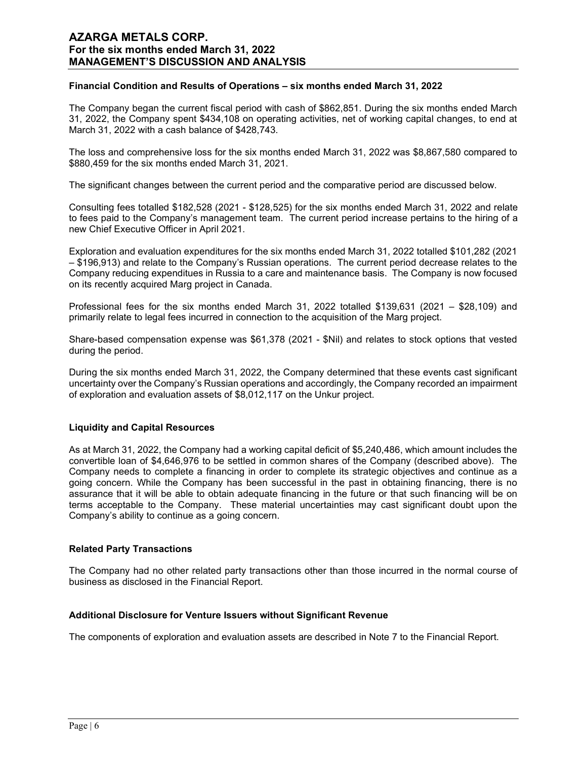### Financial Condition and Results of Operations – six months ended March 31, 2022

The Company began the current fiscal period with cash of \$862,851. During the six months ended March 31, 2022, the Company spent \$434,108 on operating activities, net of working capital changes, to end at March 31, 2022 with a cash balance of \$428,743.

The loss and comprehensive loss for the six months ended March 31, 2022 was \$8,867,580 compared to \$880,459 for the six months ended March 31, 2021.

The significant changes between the current period and the comparative period are discussed below.

Consulting fees totalled \$182,528 (2021 - \$128,525) for the six months ended March 31, 2022 and relate to fees paid to the Company's management team. The current period increase pertains to the hiring of a new Chief Executive Officer in April 2021.

Exploration and evaluation expenditures for the six months ended March 31, 2022 totalled \$101,282 (2021 – \$196,913) and relate to the Company's Russian operations. The current period decrease relates to the Company reducing expenditues in Russia to a care and maintenance basis. The Company is now focused on its recently acquired Marg project in Canada.

Professional fees for the six months ended March 31, 2022 totalled \$139,631 (2021 – \$28,109) and primarily relate to legal fees incurred in connection to the acquisition of the Marg project.

Share-based compensation expense was \$61,378 (2021 - \$Nil) and relates to stock options that vested during the period.

During the six months ended March 31, 2022, the Company determined that these events cast significant uncertainty over the Company's Russian operations and accordingly, the Company recorded an impairment of exploration and evaluation assets of \$8,012,117 on the Unkur project.

#### Liquidity and Capital Resources

As at March 31, 2022, the Company had a working capital deficit of \$5,240,486, which amount includes the convertible loan of \$4,646,976 to be settled in common shares of the Company (described above). The Company needs to complete a financing in order to complete its strategic objectives and continue as a going concern. While the Company has been successful in the past in obtaining financing, there is no assurance that it will be able to obtain adequate financing in the future or that such financing will be on terms acceptable to the Company. These material uncertainties may cast significant doubt upon the Company's ability to continue as a going concern.

#### Related Party Transactions

The Company had no other related party transactions other than those incurred in the normal course of business as disclosed in the Financial Report.

#### Additional Disclosure for Venture Issuers without Significant Revenue

The components of exploration and evaluation assets are described in Note 7 to the Financial Report.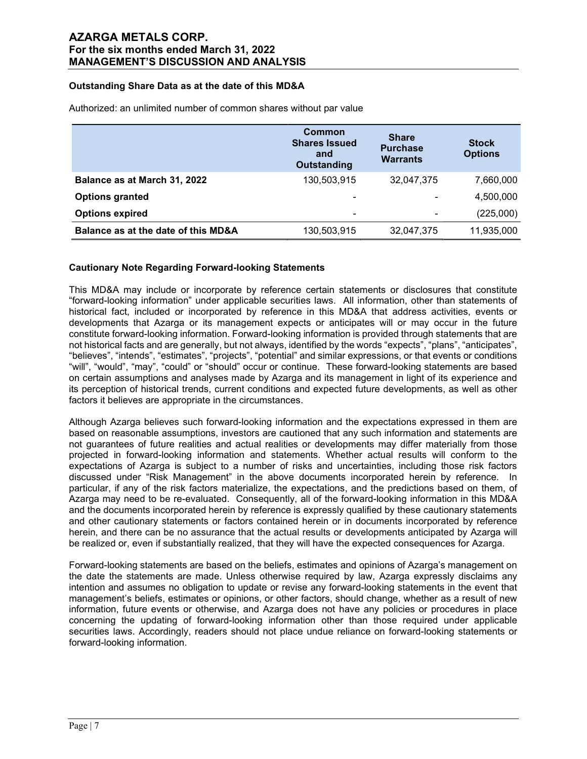## Outstanding Share Data as at the date of this MD&A

|                                     | Common<br><b>Shares Issued</b><br>and<br><b>Outstanding</b> | <b>Share</b><br><b>Purchase</b><br><b>Warrants</b> | <b>Stock</b><br><b>Options</b> |
|-------------------------------------|-------------------------------------------------------------|----------------------------------------------------|--------------------------------|
| Balance as at March 31, 2022        | 130,503,915                                                 | 32,047,375                                         | 7,660,000                      |
| <b>Options granted</b>              | -                                                           | ۰                                                  | 4,500,000                      |
| <b>Options expired</b>              | -                                                           | $\overline{\phantom{a}}$                           | (225,000)                      |
| Balance as at the date of this MD&A | 130,503,915                                                 | 32,047,375                                         | 11,935,000                     |

Authorized: an unlimited number of common shares without par value

## Cautionary Note Regarding Forward-looking Statements

This MD&A may include or incorporate by reference certain statements or disclosures that constitute "forward-looking information" under applicable securities laws. All information, other than statements of historical fact, included or incorporated by reference in this MD&A that address activities, events or developments that Azarga or its management expects or anticipates will or may occur in the future constitute forward-looking information. Forward-looking information is provided through statements that are not historical facts and are generally, but not always, identified by the words "expects", "plans", "anticipates", "believes", "intends", "estimates", "projects", "potential" and similar expressions, or that events or conditions "will", "would", "may", "could" or "should" occur or continue. These forward-looking statements are based on certain assumptions and analyses made by Azarga and its management in light of its experience and its perception of historical trends, current conditions and expected future developments, as well as other factors it believes are appropriate in the circumstances.

Although Azarga believes such forward-looking information and the expectations expressed in them are based on reasonable assumptions, investors are cautioned that any such information and statements are not guarantees of future realities and actual realities or developments may differ materially from those projected in forward-looking information and statements. Whether actual results will conform to the expectations of Azarga is subject to a number of risks and uncertainties, including those risk factors discussed under "Risk Management" in the above documents incorporated herein by reference. In particular, if any of the risk factors materialize, the expectations, and the predictions based on them, of Azarga may need to be re-evaluated. Consequently, all of the forward-looking information in this MD&A and the documents incorporated herein by reference is expressly qualified by these cautionary statements and other cautionary statements or factors contained herein or in documents incorporated by reference herein, and there can be no assurance that the actual results or developments anticipated by Azarga will be realized or, even if substantially realized, that they will have the expected consequences for Azarga.

Forward-looking statements are based on the beliefs, estimates and opinions of Azarga's management on the date the statements are made. Unless otherwise required by law, Azarga expressly disclaims any intention and assumes no obligation to update or revise any forward-looking statements in the event that management's beliefs, estimates or opinions, or other factors, should change, whether as a result of new information, future events or otherwise, and Azarga does not have any policies or procedures in place concerning the updating of forward-looking information other than those required under applicable securities laws. Accordingly, readers should not place undue reliance on forward-looking statements or forward-looking information.